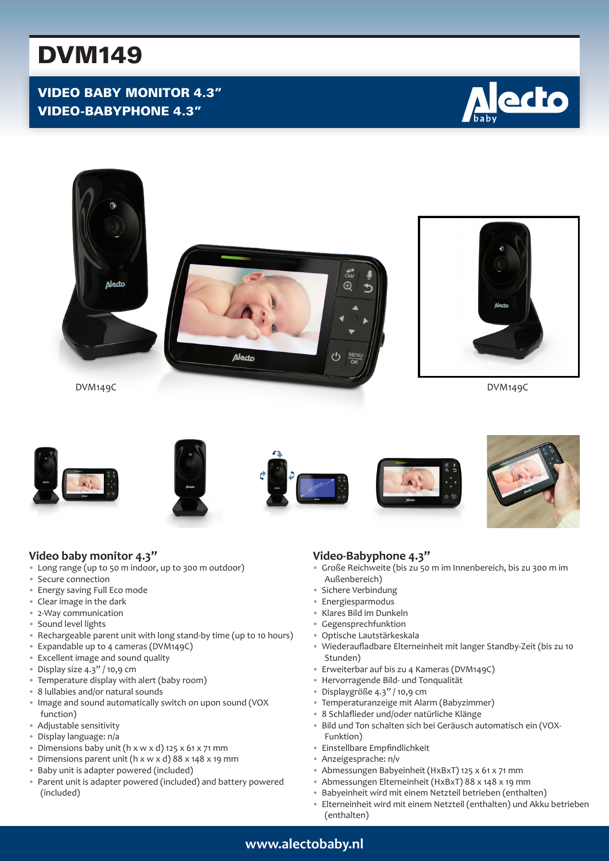# DVM149

# VIDEO BABY MONITOR 4.3" VIDEO-BABYPHONE 4.3"





## **Video baby monitor 4.3"**

- Long range (up to 50 m indoor, up to 300 m outdoor)
- Secure connection
- Energy saving Full Eco mode
- Clear image in the dark
- 2-Way communication
- Sound level lights
- Rechargeable parent unit with long stand-by time (up to 10 hours)
- Expandable up to 4 cameras (DVM149C)
- Excellent image and sound quality
- Display size 4.3" / 10,9 cm
- Temperature display with alert (baby room)
- 8 lullabies and/or natural sounds
- Image and sound automatically switch on upon sound (VOX function)
- Adjustable sensitivity
- Display language: n/a
- Dimensions baby unit (h x w x d) 125 x 61 x 71 mm
- Dimensions parent unit (h x w x d) 88 x 148 x 19 mm
- Baby unit is adapter powered (included)
- Parent unit is adapter powered (included) and battery powered (included)

## **Video-Babyphone 4.3"**

- Große Reichweite (bis zu 50 m im Innenbereich, bis zu 300 m im Außenbereich)
- Sichere Verbindung
- Energiesparmodus
- Klares Bild im Dunkeln
- Gegensprechfunktion
- Optische Lautstärkeskala
- Wiederaufladbare Elterneinheit mit langer Standby-Zeit (bis zu 10 Stunden)
- Erweiterbar auf bis zu 4 Kameras (DVM149C)
- Hervorragende Bild- und Tonqualität
- Displaygröße 4.3" / 10,9 cm
- Temperaturanzeige mit Alarm (Babyzimmer)
- 8 Schlaflieder und/oder natürliche Klänge
- Bild und Ton schalten sich bei Geräusch automatisch ein (VOX-Funktion)
- Einstellbare Empfindlichkeit
- Anzeigesprache: n/v
- Abmessungen Babyeinheit (HxBxT) 125 x 61 x 71 mm
- Abmessungen Elterneinheit (HxBxT) 88 x 148 x 19 mm
- Babyeinheit wird mit einem Netzteil betrieben (enthalten)
- Elterneinheit wird mit einem Netzteil (enthalten) und Akku betrieben (enthalten)